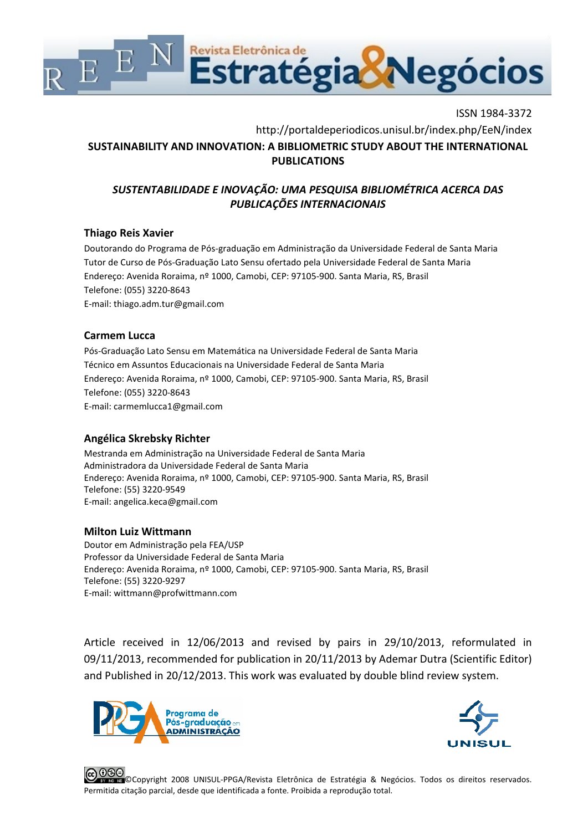

ISSN 1984-3372 [http://portaldeperiodicos.unisul.br/index.php/E](http://portaldeperiodicos.unisul.br/index.php/)eN/index **SUSTAINABILITY AND INNOVATION: A BIBLIOMETRIC STUDY ABOUT THE INTERNATIONAL PUBLICATIONS**

# *SUSTENTABILIDADE E INOVAÇÃO: UMA PESQUISA BIBLIOMÉTRICA ACERCA DAS PUBLICAÇÕES INTERNACIONAIS*

## **Thiago Reis Xavier**

Doutorando do Programa de Pós-graduação em Administração da Universidade Federal de Santa Maria Tutor de Curso de Pós-Graduação Lato Sensu ofertado pela Universidade Federal de Santa Maria Endereço: Avenida Roraima, nº 1000, Camobi, CEP: 97105-900. Santa Maria, RS, Brasil Telefone: (055) 3220-8643 E-mail: thiago.adm.[tur@gmail.com](mailto:tur@gmail.com)

### **Carmem Lucca**

Pós-Graduação Lato Sensu em Matemática na Universidade Federal de Santa Maria Técnico em Assuntos Educacionais na Universidade Federal de Santa Maria Endereço: Avenida Roraima, nº 1000, Camobi, CEP: 97105-900. Santa Maria, RS, Brasil Telefone: (055) 3220-8643 E-mail: [carmemlucca1@gmail.com](mailto:carmemlucca1@gmail.com)

# **Angélica Skrebsky Richter**

Mestranda em Administração na Universidade Federal de Santa Maria Administradora da Universidade Federal de Santa Maria Endereço: Avenida Roraima, nº 1000, Camobi, CEP: 97105-900. Santa Maria, RS, Brasil Telefone: (55) 3220-9549 E-mail: angelica[.keca@gmail.com](mailto:keca@gmail.com)

### **Milton Luiz Wittmann**

Doutor em Administração pela FEA/USP Professor da Universidade Federal de Santa Maria Endereço: Avenida Roraima, nº 1000, Camobi, CEP: 97105-900. Santa Maria, RS, Brasil Telefone: (55) 3220-9297 E-mail: [wittmann@profwittmann.com](mailto:wittmann@profwittmann.com)

Article received in 12/06/2013 and revised by pairs in 29/10/2013, reformulated in 09/11/2013, recommended for publication in 20/11/2013 by Ademar Dutra (Scientific Editor) and Published in 20/12/2013. This work was evaluated by double blind review system.





©Copyright 2008 UNISUL-PPGA/Revista Eletrônica de Estratégia & Negócios. Todos os direitos reservados. Permitida citação parcial, desde que identificada a fonte. Proibida a reprodução total.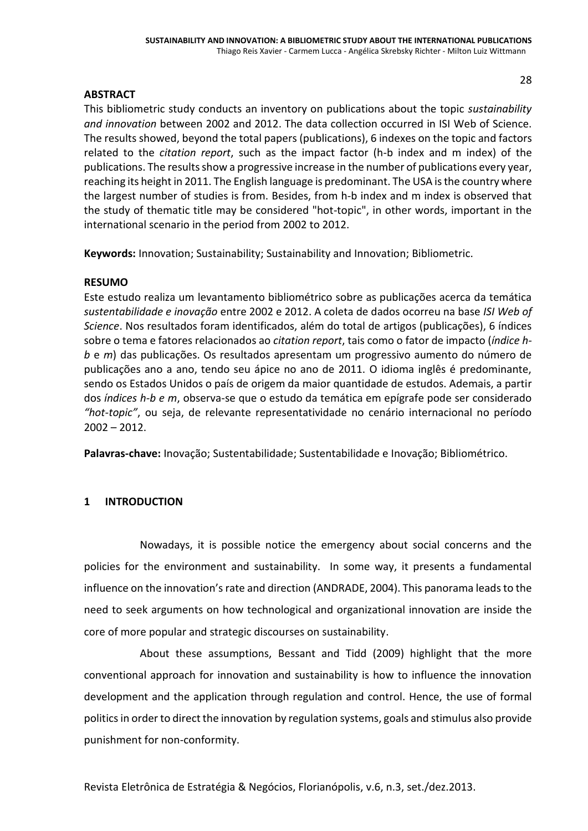### **ABSTRACT**

This bibliometric study conducts an inventory on publications about the topic *sustainability and innovation* between 2002 and 2012. The data collection occurred in ISI Web of Science. The results showed, beyond the total papers (publications), 6 indexes on the topic and factors related to the *citation report*, such as the impact factor (h-b index and m index) of the publications. The results show a progressive increase in the number of publications every year, reaching its height in 2011. The English language is predominant. The USA is the country where the largest number of studies is from. Besides, from h-b index and m index is observed that the study of thematic title may be considered "hot-topic", in other words, important in the international scenario in the period from 2002 to 2012.

**Keywords:** Innovation; Sustainability; Sustainability and Innovation; Bibliometric.

### **RESUMO**

Este estudo realiza um levantamento bibliométrico sobre as publicações acerca da temática *sustentabilidade e inovação* entre 2002 e 2012. A coleta de dados ocorreu na base *ISI Web of Science*. Nos resultados foram identificados, além do total de artigos (publicações), 6 índices sobre o tema e fatores relacionados ao *citation report*, tais como o fator de impacto (*índice h b* e *m*) das publicações. Os resultados apresentam um progressivo aumento do número de publicações ano a ano, tendo seu ápice no ano de 2011. O idioma inglês é predominante, sendo os Estados Unidos o país de origem da maior quantidade de estudos. Ademais, a partir dos *índices h-b e m*, observa-se que o estudo da temática em epígrafe pode ser considerado *"hot-topic"*, ou seja, de relevante representatividade no cenário internacional no período  $2002 - 2012$ .

**Palavras-chave:** Inovação; Sustentabilidade; Sustentabilidade e Inovação; Bibliométrico.

### **1 INTRODUCTION**

Nowadays, it is possible notice the emergency about social concerns and the policies for the environment and sustainability. In some way, it presents a fundamental influence on the innovation's rate and direction (ANDRADE, 2004). This panorama leads to the need to seek arguments on how technological and organizational innovation are inside the core of more popular and strategic discourses on sustainability.

About these assumptions, Bessant and Tidd (2009) highlight that the more conventional approach for innovation and sustainability is how to influence the innovation development and the application through regulation and control. Hence, the use of formal politics in order to direct the innovation by regulation systems, goals and stimulus also provide punishment for non-conformity.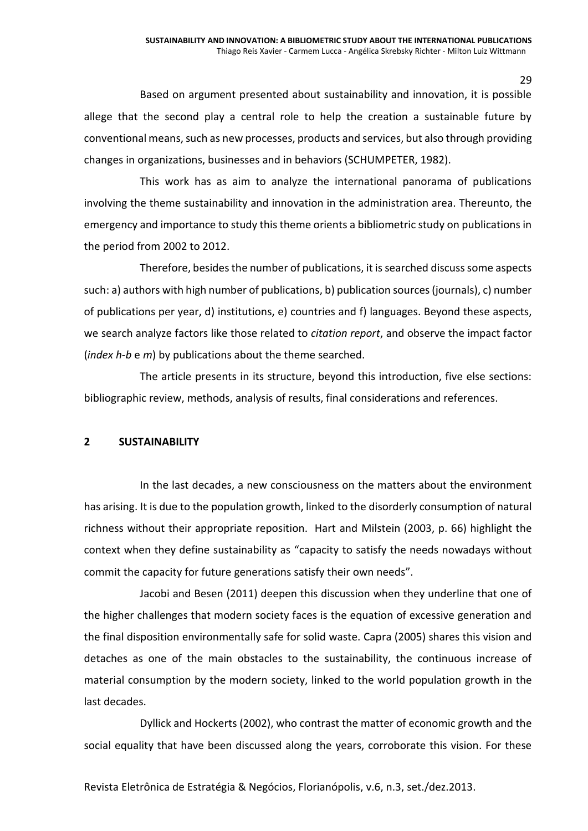Based on argument presented about sustainability and innovation, it is possible allege that the second play a central role to help the creation a sustainable future by conventional means, such as new processes, products and services, but also through providing changes in organizations, businesses and in behaviors (SCHUMPETER, 1982).

This work has as aim to analyze the international panorama of publications involving the theme sustainability and innovation in the administration area. Thereunto, the emergency and importance to study this theme orients a bibliometric study on publications in the period from 2002 to 2012.

Therefore, besides the number of publications, it is searched discuss some aspects such: a) authors with high number of publications, b) publication sources (journals), c) number of publications per year, d) institutions, e) countries and f) languages. Beyond these aspects, we search analyze factors like those related to *citation report*, and observe the impact factor (*index h-b* e *m*) by publications about the theme searched.

The article presents in its structure, beyond this introduction, five else sections: bibliographic review, methods, analysis of results, final considerations and references.

#### **2 SUSTAINABILITY**

In the last decades, a new consciousness on the matters about the environment has arising. It is due to the population growth, linked to the disorderly consumption of natural richness without their appropriate reposition. Hart and Milstein (2003, p. 66) highlight the context when they define sustainability as "capacity to satisfy the needs nowadays without commit the capacity for future generations satisfy their own needs".

Jacobi and Besen (2011) deepen this discussion when they underline that one of the higher challenges that modern society faces is the equation of excessive generation and the final disposition environmentally safe for solid waste. Capra (2005) shares this vision and detaches as one of the main obstacles to the sustainability, the continuous increase of material consumption by the modern society, linked to the world population growth in the last decades.

Dyllick and Hockerts (2002), who contrast the matter of economic growth and the social equality that have been discussed along the years, corroborate this vision. For these

Revista Eletrônica de Estratégia & Negócios, Florianópolis, v.6, n.3, set./dez.2013.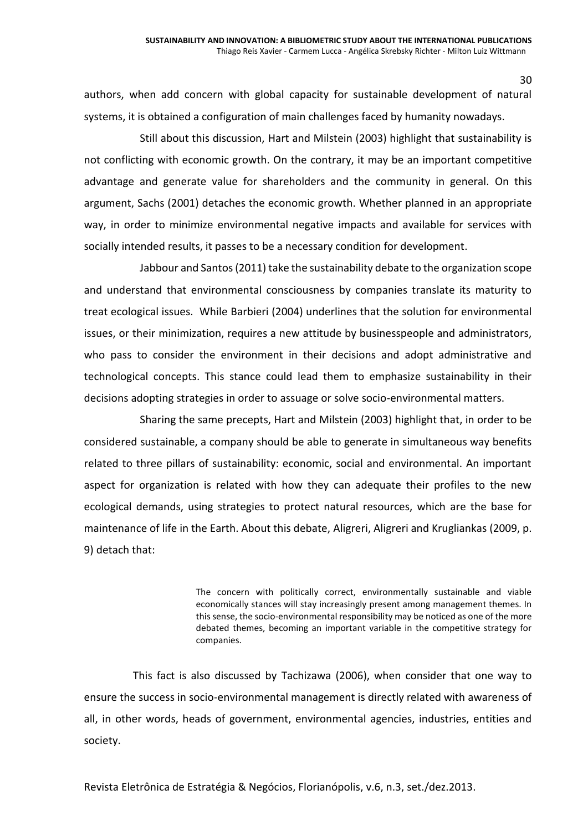authors, when add concern with global capacity for sustainable development of natural systems, it is obtained a configuration of main challenges faced by humanity nowadays.

Still about this discussion, Hart and Milstein (2003) highlight that sustainability is not conflicting with economic growth. On the contrary, it may be an important competitive advantage and generate value for shareholders and the community in general. On this argument, Sachs (2001) detaches the economic growth. Whether planned in an appropriate way, in order to minimize environmental negative impacts and available for services with socially intended results, it passes to be a necessary condition for development.

Jabbour and Santos (2011) take the sustainability debate to the organization scope and understand that environmental consciousness by companies translate its maturity to treat ecological issues. While Barbieri (2004) underlines that the solution for environmental issues, or their minimization, requires a new attitude by businesspeople and administrators, who pass to consider the environment in their decisions and adopt administrative and technological concepts. This stance could lead them to emphasize sustainability in their decisions adopting strategies in order to assuage or solve socio-environmental matters.

Sharing the same precepts, Hart and Milstein (2003) highlight that, in order to be considered sustainable, a company should be able to generate in simultaneous way benefits related to three pillars of sustainability: economic, social and environmental. An important aspect for organization is related with how they can adequate their profiles to the new ecological demands, using strategies to protect natural resources, which are the base for maintenance of life in the Earth. About this debate, Aligreri, Aligreri and Krugliankas (2009, p. 9) detach that:

> The concern with politically correct, environmentally sustainable and viable economically stances will stay increasingly present among management themes. In this sense, the socio-environmental responsibility may be noticed as one of the more debated themes, becoming an important variable in the competitive strategy for companies.

This fact is also discussed by Tachizawa (2006), when consider that one way to ensure the success in socio-environmental management is directly related with awareness of all, in other words, heads of government, environmental agencies, industries, entities and society.

Revista Eletrônica de Estratégia & Negócios, Florianópolis, v.6, n.3, set./dez.2013.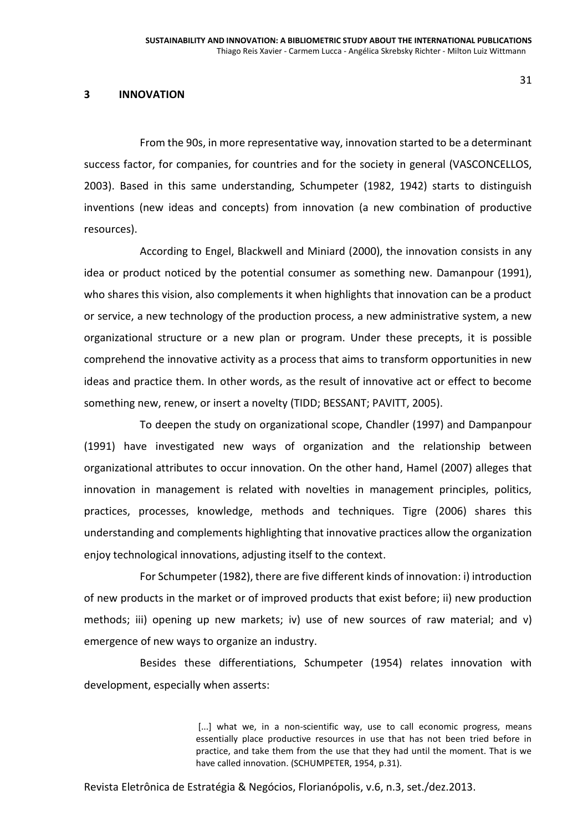#### **3 INNOVATION**

From the 90s, in more representative way, innovation started to be a determinant success factor, for companies, for countries and for the society in general (VASCONCELLOS, 2003). Based in this same understanding, Schumpeter (1982, 1942) starts to distinguish inventions (new ideas and concepts) from innovation (a new combination of productive resources).

According to Engel, Blackwell and Miniard (2000), the innovation consists in any idea or product noticed by the potential consumer as something new. Damanpour (1991), who shares this vision, also complements it when highlights that innovation can be a product or service, a new technology of the production process, a new administrative system, a new organizational structure or a new plan or program. Under these precepts, it is possible comprehend the innovative activity as a process that aims to transform opportunities in new ideas and practice them. In other words, as the result of innovative act or effect to become something new, renew, or insert a novelty (TIDD; BESSANT; PAVITT, 2005).

To deepen the study on organizational scope, Chandler (1997) and Dampanpour (1991) have investigated new ways of organization and the relationship between organizational attributes to occur innovation. On the other hand, Hamel (2007) alleges that innovation in management is related with novelties in management principles, politics, practices, processes, knowledge, methods and techniques. Tigre (2006) shares this understanding and complements highlighting that innovative practices allow the organization enjoy technological innovations, adjusting itself to the context.

For Schumpeter (1982), there are five different kinds of innovation: i) introduction of new products in the market or of improved products that exist before; ii) new production methods; iii) opening up new markets; iv) use of new sources of raw material; and v) emergence of new ways to organize an industry.

Besides these differentiations, Schumpeter (1954) relates innovation with development, especially when asserts:

> [...] what we, in a non-scientific way, use to call economic progress, means essentially place productive resources in use that has not been tried before in practice, and take them from the use that they had until the moment. That is we have called innovation. (SCHUMPETER, 1954, p.31).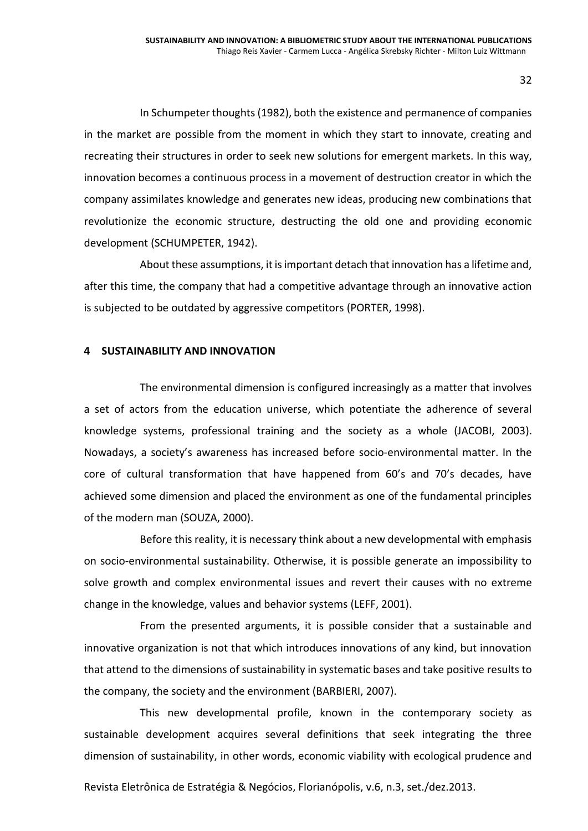In Schumpeter thoughts(1982), both the existence and permanence of companies in the market are possible from the moment in which they start to innovate, creating and recreating their structures in order to seek new solutions for emergent markets. In this way, innovation becomes a continuous process in a movement of destruction creator in which the company assimilates knowledge and generates new ideas, producing new combinations that revolutionize the economic structure, destructing the old one and providing economic development (SCHUMPETER, 1942).

About these assumptions, it is important detach that innovation has a lifetime and, after this time, the company that had a competitive advantage through an innovative action is subjected to be outdated by aggressive competitors (PORTER, 1998).

#### **4 SUSTAINABILITY AND INNOVATION**

The environmental dimension is configured increasingly as a matter that involves a set of actors from the education universe, which potentiate the adherence of several knowledge systems, professional training and the society as a whole (JACOBI, 2003). Nowadays, a society's awareness has increased before socio-environmental matter. In the core of cultural transformation that have happened from 60's and 70's decades, have achieved some dimension and placed the environment as one of the fundamental principles of the modern man (SOUZA, 2000).

Before this reality, it is necessary think about a new developmental with emphasis on socio-environmental sustainability. Otherwise, it is possible generate an impossibility to solve growth and complex environmental issues and revert their causes with no extreme change in the knowledge, values and behavior systems (LEFF, 2001).

From the presented arguments, it is possible consider that a sustainable and innovative organization is not that which introduces innovations of any kind, but innovation that attend to the dimensions of sustainability in systematic bases and take positive results to the company, the society and the environment (BARBIERI, 2007).

This new developmental profile, known in the contemporary society as sustainable development acquires several definitions that seek integrating the three dimension of sustainability, in other words, economic viability with ecological prudence and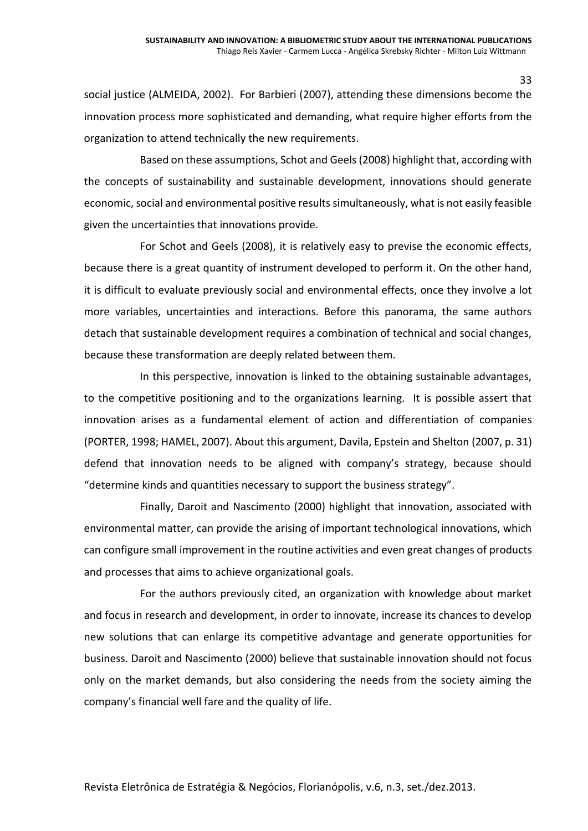social justice (ALMEIDA, 2002). For Barbieri (2007), attending these dimensions become the innovation process more sophisticated and demanding, what require higher efforts from the organization to attend technically the new requirements.

Based on these assumptions, Schot and Geels (2008) highlight that, according with the concepts of sustainability and sustainable development, innovations should generate economic, social and environmental positive results simultaneously, what is not easily feasible given the uncertainties that innovations provide.

For Schot and Geels (2008), it is relatively easy to previse the economic effects, because there is a great quantity of instrument developed to perform it. On the other hand, it is difficult to evaluate previously social and environmental effects, once they involve a lot more variables, uncertainties and interactions. Before this panorama, the same authors detach that sustainable development requires a combination of technical and social changes, because these transformation are deeply related between them.

In this perspective, innovation is linked to the obtaining sustainable advantages, to the competitive positioning and to the organizations learning. It is possible assert that innovation arises as a fundamental element of action and differentiation of companies (PORTER, 1998; HAMEL, 2007). About this argument, Davila, Epstein and Shelton (2007, p. 31) defend that innovation needs to be aligned with company's strategy, because should "determine kinds and quantities necessary to support the business strategy".

Finally, Daroit and Nascimento (2000) highlight that innovation, associated with environmental matter, can provide the arising of important technological innovations, which can configure small improvement in the routine activities and even great changes of products and processes that aims to achieve organizational goals.

For the authors previously cited, an organization with knowledge about market and focus in research and development, in order to innovate, increase its chances to develop new solutions that can enlarge its competitive advantage and generate opportunities for business. Daroit and Nascimento (2000) believe that sustainable innovation should not focus only on the market demands, but also considering the needs from the society aiming the company's financial well fare and the quality of life.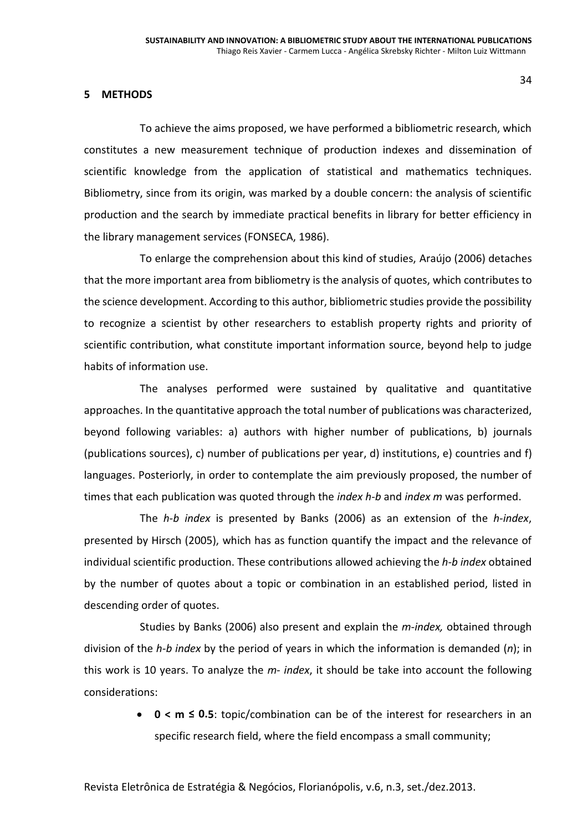#### **5 METHODS**

To achieve the aims proposed, we have performed a bibliometric research, which constitutes a new measurement technique of production indexes and dissemination of scientific knowledge from the application of statistical and mathematics techniques. Bibliometry, since from its origin, was marked by a double concern: the analysis of scientific production and the search by immediate practical benefits in library for better efficiency in the library management services (FONSECA, 1986).

To enlarge the comprehension about this kind of studies, Araújo (2006) detaches that the more important area from bibliometry is the analysis of quotes, which contributes to the science development. According to this author, bibliometric studies provide the possibility to recognize a scientist by other researchers to establish property rights and priority of scientific contribution, what constitute important information source, beyond help to judge habits of information use.

The analyses performed were sustained by qualitative and quantitative approaches. In the quantitative approach the total number of publications was characterized, beyond following variables: a) authors with higher number of publications, b) journals (publications sources), c) number of publications per year, d) institutions, e) countries and f) languages. Posteriorly, in order to contemplate the aim previously proposed, the number of times that each publication was quoted through the *index h-b* and *index m* was performed.

The *h-b index* is presented by Banks (2006) as an extension of the *h-index*, presented by Hirsch (2005), which has as function quantify the impact and the relevance of individual scientific production. These contributions allowed achieving the *h-b index* obtained by the number of quotes about a topic or combination in an established period, listed in descending order of quotes.

Studies by Banks (2006) also present and explain the *m-index,* obtained through division of the *h-b index* by the period of years in which the information is demanded (*n*); in this work is 10 years. To analyze the *m-index*, it should be take into account the following considerations:

> **0 < m ≤ 0.5**: topic/combination can be of the interest for researchers in an specific research field, where the field encompass a small community;

Revista Eletrônica de Estratégia & Negócios, Florianópolis, v.6, n.3, set./dez.2013.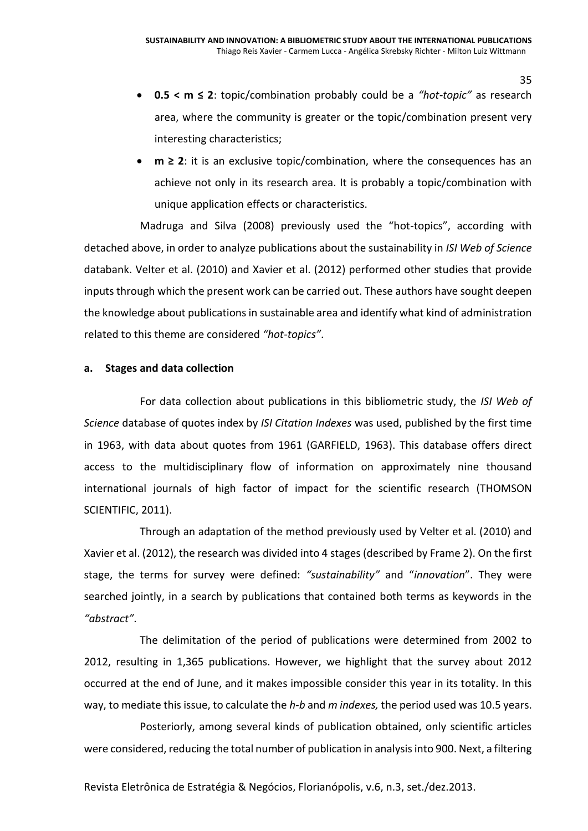- **0.5 < m ≤ 2**: topic/combination probably could be a *"hot-topic"* as research area, where the community is greater or the topic/combination present very interesting characteristics;
- **m ≥ 2**: it is an exclusive topic/combination, where the consequences has an achieve not only in its research area. It is probably a topic/combination with unique application effects or characteristics.

Madruga and Silva (2008) previously used the "hot-topics", according with detached above, in order to analyze publications about the sustainability in *ISI Web of Science* databank. Velter et al. (2010) and Xavier et al. (2012) performed other studies that provide inputs through which the present work can be carried out. These authors have sought deepen the knowledge about publications in sustainable area and identify what kind of administration related to this theme are considered *"hot-topics"*.

### **a. Stages and data collection**

For data collection about publications in this bibliometric study, the *ISI Web of Science* database of quotes index by *ISI Citation Indexes* was used, published by the first time in 1963, with data about quotes from 1961 (GARFIELD, 1963). This database offers direct access to the multidisciplinary flow of information on approximately nine thousand international journals of high factor of impact for the scientific research (THOMSON SCIENTIFIC, 2011).

Through an adaptation of the method previously used by Velter et al. (2010) and Xavier et al. (2012), the research was divided into 4 stages (described by Frame 2). On the first stage, the terms for survey were defined: *"sustainability"* and "*innovation*". They were searched jointly, in a search by publications that contained both terms as keywords in the *"abstract"*.

The delimitation of the period of publications were determined from 2002 to 2012, resulting in 1,365 publications. However, we highlight that the survey about 2012 occurred at the end of June, and it makes impossible consider this year in its totality. In this way, to mediate this issue, to calculate the *h-b* and *m indexes,* the period used was 10.5 years.

Posteriorly, among several kinds of publication obtained, only scientific articles were considered, reducing the total number of publication in analysis into 900. Next, a filtering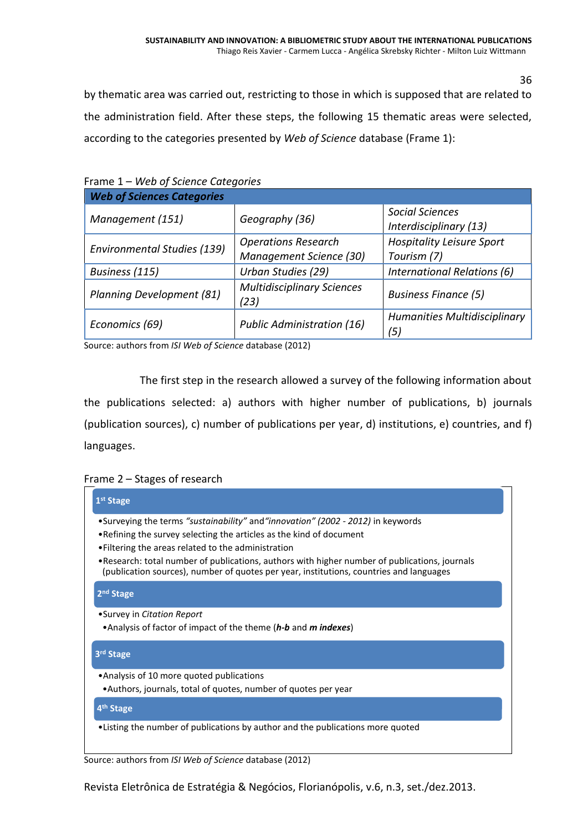by thematic area was carried out, restricting to those in which is supposed that are related to the administration field. After these steps, the following 15 thematic areas were selected, according to the categories presented by *Web of Science* database (Frame 1):

| Frame 1 – Web of Science Categories |  |
|-------------------------------------|--|
|-------------------------------------|--|

| <b>Web of Sciences Categories</b>  |                                                       |                                                  |
|------------------------------------|-------------------------------------------------------|--------------------------------------------------|
| Management (151)                   | Geography (36)                                        | <b>Social Sciences</b><br>Interdisciplinary (13) |
| <b>Environmental Studies (139)</b> | <b>Operations Research</b><br>Management Science (30) | <b>Hospitality Leisure Sport</b><br>Tourism (7)  |
| Business (115)                     | Urban Studies (29)                                    | International Relations (6)                      |
| Planning Development (81)          | <b>Multidisciplinary Sciences</b><br>(23)             | <b>Business Finance (5)</b>                      |
| Economics (69)                     | <b>Public Administration (16)</b>                     | <b>Humanities Multidisciplinary</b><br>(5,       |

Source: authors from *ISI Web of Science* database (2012)

The first step in the research allowed a survey of the following information about the publications selected: a) authors with higher number of publications, b) journals (publication sources), c) number of publications per year, d) institutions, e) countries, and f) languages.

### Frame 2 – Stages of research

| $1st$ Stage                                                                                                                                                                               |
|-------------------------------------------------------------------------------------------------------------------------------------------------------------------------------------------|
| •Surveying the terms "sustainability" and "innovation" (2002 - 2012) in keywords                                                                                                          |
| • Refining the survey selecting the articles as the kind of document                                                                                                                      |
| • Filtering the areas related to the administration                                                                                                                                       |
| • Research: total number of publications, authors with higher number of publications, journals<br>(publication sources), number of quotes per year, institutions, countries and languages |
| $2nd$ Stage                                                                                                                                                                               |
| •Survey in Citation Report                                                                                                                                                                |
| • Analysis of factor of impact of the theme (h-b and m indexes)                                                                                                                           |
| 3rd Stage                                                                                                                                                                                 |
| • Analysis of 10 more quoted publications                                                                                                                                                 |
| •Authors, journals, total of quotes, number of quotes per year                                                                                                                            |
| 4 <sup>th</sup> Stage                                                                                                                                                                     |
| •Listing the number of publications by author and the publications more quoted                                                                                                            |

Source: authors from *ISI Web of Science* database (2012)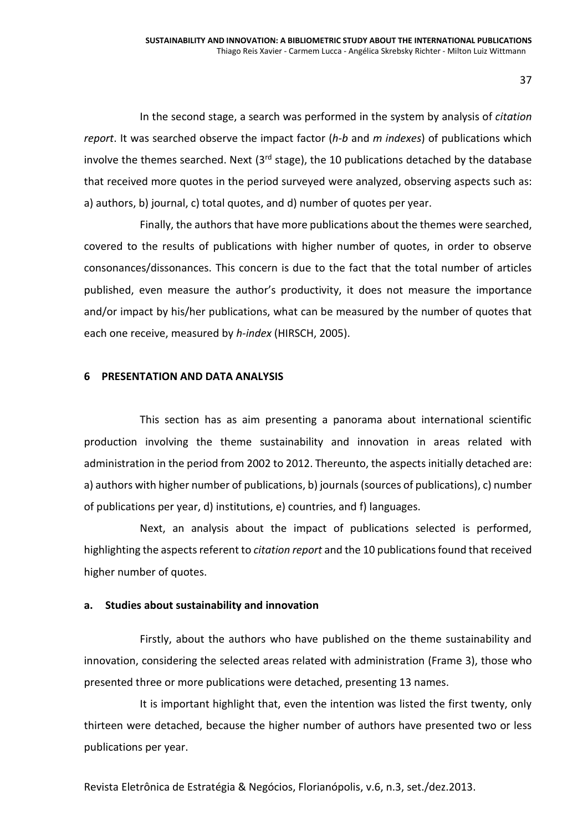In the second stage, a search was performed in the system by analysis of *citation report*. It was searched observe the impact factor (*h-b* and *m indexes*) of publications which involve the themes searched. Next  $(3<sup>rd</sup> \text{ stage})$ , the 10 publications detached by the database that received more quotes in the period surveyed were analyzed, observing aspects such as: a) authors, b) journal, c) total quotes, and d) number of quotes per year.

Finally, the authors that have more publications about the themes were searched, covered to the results of publications with higher number of quotes, in order to observe consonances/dissonances. This concern is due to the fact that the total number of articles published, even measure the author's productivity, it does not measure the importance and/or impact by his/her publications, what can be measured by the number of quotes that each one receive, measured by *h-index* (HIRSCH, 2005).

#### **6 PRESENTATION AND DATA ANALYSIS**

This section has as aim presenting a panorama about international scientific production involving the theme sustainability and innovation in areas related with administration in the period from 2002 to 2012. Thereunto, the aspects initially detached are: a) authors with higher number of publications, b) journals (sources of publications), c) number of publications per year, d) institutions, e) countries, and f) languages.

Next, an analysis about the impact of publications selected is performed, highlighting the aspects referent to *citation report* and the 10 publications found that received higher number of quotes.

#### **a. Studies about sustainability and innovation**

Firstly, about the authors who have published on the theme sustainability and innovation, considering the selected areas related with administration (Frame 3), those who presented three or more publications were detached, presenting 13 names.

It is important highlight that, even the intention was listed the first twenty, only thirteen were detached, because the higher number of authors have presented two or less publications per year.

Revista Eletrônica de Estratégia & Negócios, Florianópolis, v.6, n.3, set./dez.2013.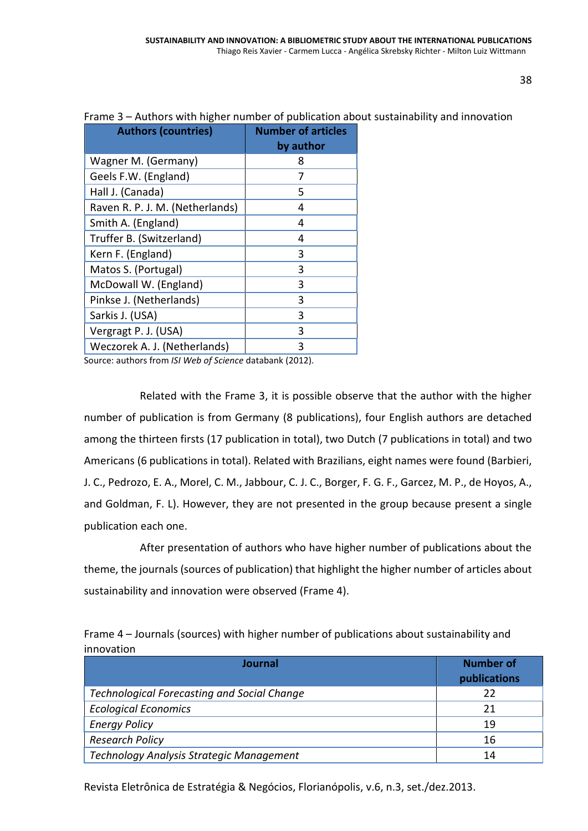| <b>Authors (countries)</b>      | <b>Number of articles</b><br>by author |
|---------------------------------|----------------------------------------|
| Wagner M. (Germany)             | 8                                      |
| Geels F.W. (England)            |                                        |
| Hall J. (Canada)                | 5                                      |
| Raven R. P. J. M. (Netherlands) | 4                                      |
| Smith A. (England)              | 4                                      |
| Truffer B. (Switzerland)        | 4                                      |
| Kern F. (England)               | 3                                      |
| Matos S. (Portugal)             | 3                                      |
| McDowall W. (England)           | 3                                      |
| Pinkse J. (Netherlands)         | 3                                      |
| Sarkis J. (USA)                 | 3                                      |
| Vergragt P. J. (USA)            | 3                                      |
| Weczorek A. J. (Netherlands)    | 3                                      |

#### Frame 3 – Authors with higher number of publication about sustainability and innovation

Source: authors from *ISI Web of Science* databank (2012).

Related with the Frame 3, it is possible observe that the author with the higher number of publication is from Germany (8 publications), four English authors are detached among the thirteen firsts (17 publication in total), two Dutch (7 publications in total) and two Americans (6 publications in total). Related with Brazilians, eight names were found (Barbieri, J. C., Pedrozo, E. A., Morel, C. M., Jabbour, C. J. C., Borger, F. G. F., Garcez, M. P., de Hoyos, A., and Goldman, F. L). However, they are not presented in the group because present a single publication each one.

After presentation of authors who have higher number of publications about the theme, the journals (sources of publication) that highlight the higher number of articles about sustainability and innovation were observed (Frame 4).

| Frame 4 – Journals (sources) with higher number of publications about sustainability and |  |
|------------------------------------------------------------------------------------------|--|
| innovation                                                                               |  |

| Journal                                            | <b>Number of</b><br>publications |
|----------------------------------------------------|----------------------------------|
| <b>Technological Forecasting and Social Change</b> | 22                               |
| <b>Ecological Economics</b>                        | 21                               |
| <b>Energy Policy</b>                               | 19                               |
| <b>Research Policy</b>                             | 16                               |
| Technology Analysis Strategic Management           | 14                               |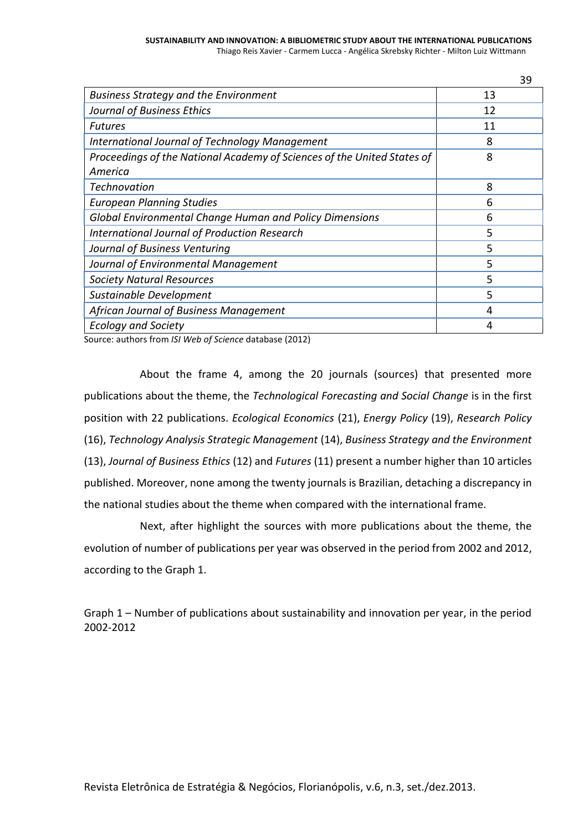#### **SUSTAINABILITY AND INNOVATION: A BIBLIOMETRIC STUDY ABOUT THE INTERNATIONAL PUBLICATIONS** Thiago Reis Xavier - Carmem Lucca - Angélica Skrebsky Richter - Milton Luiz Wittmann

**Business Strategy and the Environment** 13 *Journal of Business Ethics* 12 *Futures* 11 *International Journal of Technology Management* 8 *Proceedings of the National Academy of Sciences of the United States of America* 8 *Technovation* 8 *European Planning Studies* 6 *Global Environmental Change Human and Policy Dimensions* 6 *International Journal of Production Research* 5 *Journal of Business Venturing* 5 *Journal of Environmental Management* 5 *Society Natural Resources* 5 *Sustainable Development* 5 *African Journal of Business Management* 4 *Ecology and Society* 4

Source: authors from *ISI Web of Science* database (2012)

About the frame 4, among the 20 journals (sources) that presented more publications about the theme, the *Technological Forecasting and Social Change* is in the first position with 22 publications. *Ecological Economics* (21), *Energy Policy* (19), *Research Policy* (16), *Technology Analysis Strategic Management* (14), *Business Strategy and the Environment* (13), *Journal of Business Ethics* (12) and *Futures* (11) present a number higher than 10 articles published. Moreover, none among the twenty journals is Brazilian, detaching a discrepancy in the national studies about the theme when compared with the international frame.

Next, after highlight the sources with more publications about the theme, the evolution of number of publications per year was observed in the period from 2002 and 2012, according to the Graph 1.

Graph 1 – Number of publications about sustainability and innovation per year, in the period 2002-2012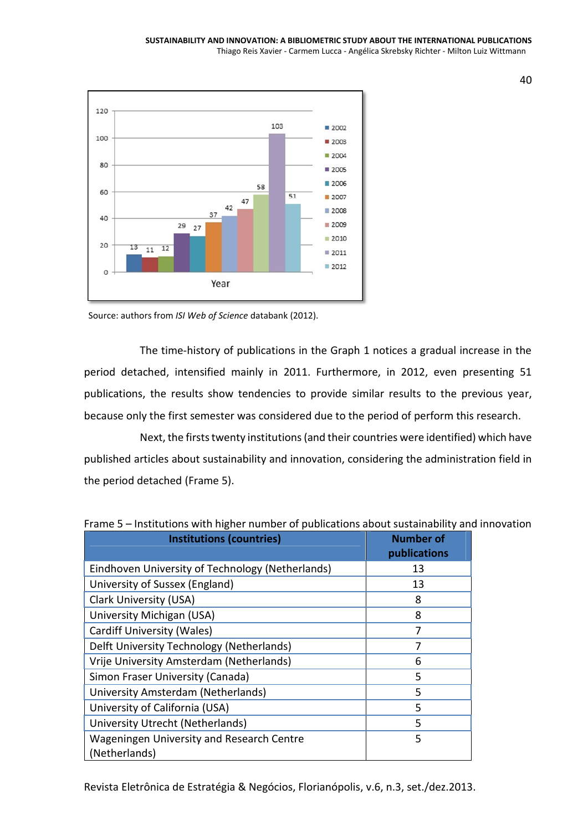

Source: authors from *ISI Web of Science* databank (2012).

The time-history of publications in the Graph 1 notices a gradual increase in the period detached, intensified mainly in 2011. Furthermore, in 2012, even presenting 51 publications, the results show tendencies to provide similar results to the previous year, because only the first semester was considered due to the period of perform this research.

Next, the firsts twenty institutions(and their countries were identified) which have published articles about sustainability and innovation, considering the administration field in the period detached (Frame 5).

| <b>Institutions (countries)</b>                            | <b>Number of</b><br>publications |
|------------------------------------------------------------|----------------------------------|
| Eindhoven University of Technology (Netherlands)           | 13                               |
| University of Sussex (England)                             | 13                               |
| <b>Clark University (USA)</b>                              | 8                                |
| University Michigan (USA)                                  | 8                                |
| <b>Cardiff University (Wales)</b>                          | 7                                |
| Delft University Technology (Netherlands)                  | 7                                |
| Vrije University Amsterdam (Netherlands)                   | 6                                |
| Simon Fraser University (Canada)                           | 5                                |
| University Amsterdam (Netherlands)                         | 5                                |
| University of California (USA)                             | 5                                |
| University Utrecht (Netherlands)                           | 5                                |
| Wageningen University and Research Centre<br>(Netherlands) | 5                                |

Frame 5 – Institutions with higher number of publications about sustainability and innovation

Revista Eletrônica de Estratégia & Negócios, Florianópolis, v.6, n.3, set./dez.2013.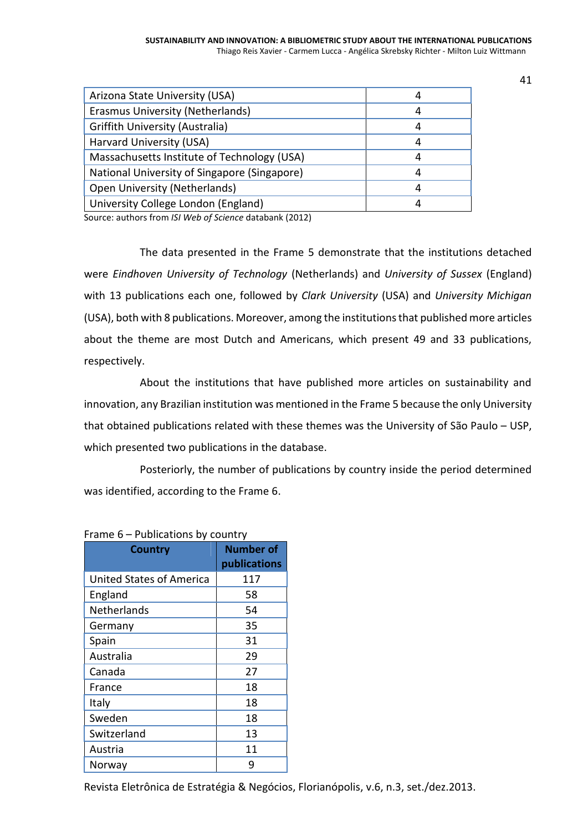| Arizona State University (USA)               |   |
|----------------------------------------------|---|
| Erasmus University (Netherlands)             |   |
| <b>Griffith University (Australia)</b>       |   |
| Harvard University (USA)                     |   |
| Massachusetts Institute of Technology (USA)  | 4 |
| National University of Singapore (Singapore) |   |
| <b>Open University (Netherlands)</b>         | 4 |
| University College London (England)          |   |

Source: authors from *ISI Web of Science* databank (2012)

The data presented in the Frame 5 demonstrate that the institutions detached were *Eindhoven University of Technology* (Netherlands) and *University of Sussex* (England) with 13 publications each one, followed by *Clark University* (USA) and *University Michigan* (USA), both with 8 publications. Moreover, among the institutions that published more articles about the theme are most Dutch and Americans, which present 49 and 33 publications, respectively.

About the institutions that have published more articles on sustainability and innovation, any Brazilian institution was mentioned in the Frame 5 because the only University that obtained publications related with these themes was the University of São Paulo – USP, which presented two publications in the database.

Posteriorly, the number of publications by country inside the period determined was identified, according to the Frame 6.

| <b>Country</b>                  | <b>Number of</b><br>publications |
|---------------------------------|----------------------------------|
| <b>United States of America</b> | 117                              |
| England                         | 58                               |
| <b>Netherlands</b>              | 54                               |
| Germany                         | 35                               |
| Spain                           | 31                               |
| Australia                       | 29                               |
| Canada                          | 27                               |
| France                          | 18                               |
| Italy                           | 18                               |
| Sweden                          | 18                               |
| Switzerland                     | 13                               |
| Austria                         | 11                               |
| Norway                          | 9                                |

### Frame 6 – Publications by country

Revista Eletrônica de Estratégia & Negócios, Florianópolis, v.6, n.3, set./dez.2013.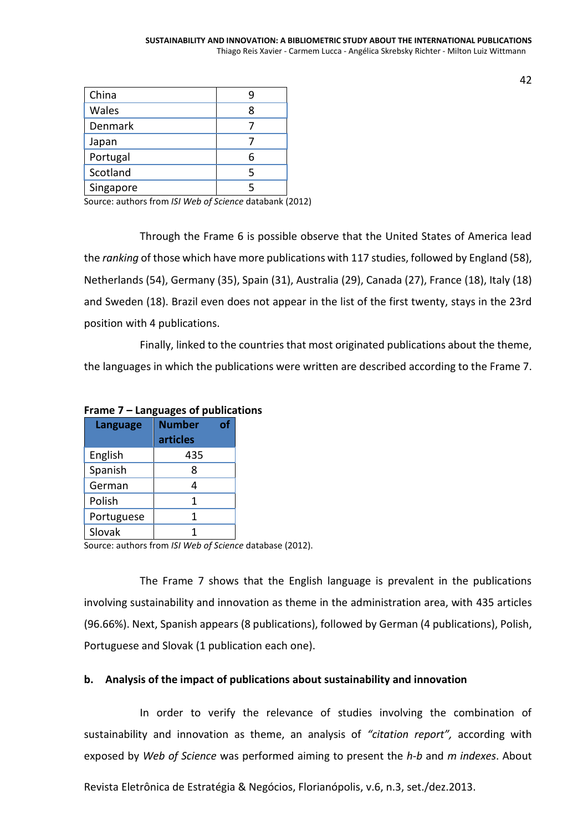| China     |   |
|-----------|---|
| Wales     |   |
| Denmark   |   |
| Japan     |   |
| Portugal  | h |
| Scotland  | 5 |
| Singapore |   |

Source: authors from *ISI Web of Science* databank (2012)

Through the Frame 6 is possible observe that the United States of America lead the *ranking* of those which have more publications with 117 studies, followed by England (58), Netherlands (54), Germany (35), Spain (31), Australia (29), Canada (27), France (18), Italy (18) and Sweden (18). Brazil even does not appear in the list of the first twenty, stays in the 23rd position with 4 publications.

Finally, linked to the countries that most originated publications about the theme, the languages in which the publications were written are described according to the Frame 7.

| <b>Language</b> | <b>Number</b><br>articles | of |
|-----------------|---------------------------|----|
| English         | 435                       |    |
| Spanish         | ጸ                         |    |
| German          |                           |    |
| Polish          | 1                         |    |
| Portuguese      |                           |    |
| Slovak          |                           |    |

### **Frame 7 – Languages of publications**

Source: authors from *ISI Web of Science* database (2012).

The Frame 7 shows that the English language is prevalent in the publications involving sustainability and innovation as theme in the administration area, with 435 articles (96.66%). Next, Spanish appears (8 publications), followed by German (4 publications), Polish, Portuguese and Slovak (1 publication each one).

### **b. Analysis of the impact of publications about sustainability and innovation**

In order to verify the relevance of studies involving the combination of sustainability and innovation as theme, an analysis of *"citation report",* according with exposed by *Web of Science* was performed aiming to present the *h-b* and *m indexes*. About

Revista Eletrônica de Estratégia & Negócios, Florianópolis, v.6, n.3, set./dez.2013.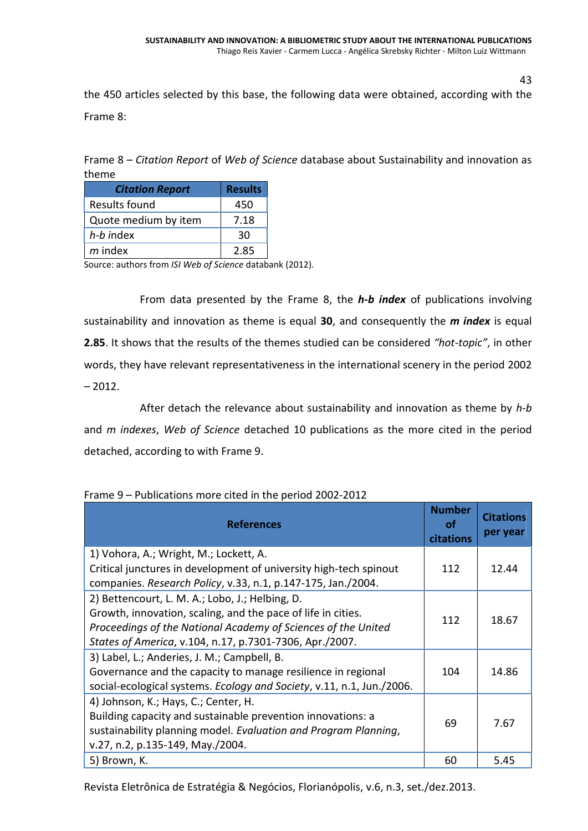the 450 articles selected by this base, the following data were obtained, according with the Frame 8:

Frame 8 – *Citation Report* of *Web of Science* database about Sustainability and innovation as theme

| <b>Citation Report</b> | <b>Results</b> |
|------------------------|----------------|
| Results found          | 450            |
| Quote medium by item   | 7.18           |
| h-b index              | 30             |
| $m$ index              | 2.85           |

Source: authors from *ISI Web of Science* databank (2012).

From data presented by the Frame 8, the *h-b index* of publications involving sustainability and innovation as theme is equal **30**, and consequently the *m index* is equal **2.85**. It shows that the results of the themes studied can be considered *"hot-topic"*, in other words, they have relevant representativeness in the international scenery in the period 2002  $-2012.$ 

After detach the relevance about sustainability and innovation as theme by *h-b* and *m indexes*, *Web of Science* detached 10 publications as the more cited in the period detached, according to with Frame 9.

| <b>References</b>                                                                                                                                                                                                                           | <b>Number</b><br>οf<br>citations | <b>Citations</b><br>per year |
|---------------------------------------------------------------------------------------------------------------------------------------------------------------------------------------------------------------------------------------------|----------------------------------|------------------------------|
| 1) Vohora, A.; Wright, M.; Lockett, A.<br>Critical junctures in development of university high-tech spinout<br>companies. Research Policy, v.33, n.1, p.147-175, Jan./2004.                                                                 | 112                              | 12.44                        |
| 2) Bettencourt, L. M. A.; Lobo, J.; Helbing, D.<br>Growth, innovation, scaling, and the pace of life in cities.<br>Proceedings of the National Academy of Sciences of the United<br>States of America, v.104, n.17, p.7301-7306, Apr./2007. | 112                              | 18.67                        |
| 3) Label, L.; Anderies, J. M.; Campbell, B.<br>Governance and the capacity to manage resilience in regional<br>social-ecological systems. Ecology and Society, v.11, n.1, Jun./2006.                                                        | 104                              | 14.86                        |
| 4) Johnson, K.; Hays, C.; Center, H.<br>Building capacity and sustainable prevention innovations: a<br>sustainability planning model. Evaluation and Program Planning,<br>v.27, n.2, p.135-149, May./2004.                                  | 69                               | 7.67                         |
| 5) Brown, K.                                                                                                                                                                                                                                | 60                               | 5.45                         |

Frame 9 – Publications more cited in the period 2002-2012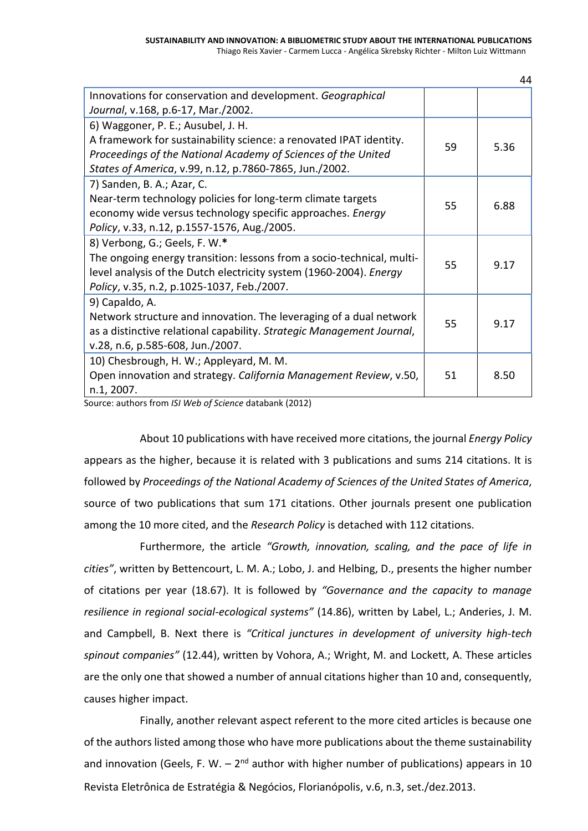|                                                                                                                                                                                                                                     |    | 44   |
|-------------------------------------------------------------------------------------------------------------------------------------------------------------------------------------------------------------------------------------|----|------|
| Innovations for conservation and development. Geographical<br>Journal, v.168, p.6-17, Mar./2002.                                                                                                                                    |    |      |
| 6) Waggoner, P. E.; Ausubel, J. H.<br>A framework for sustainability science: a renovated IPAT identity.<br>Proceedings of the National Academy of Sciences of the United<br>States of America, v.99, n.12, p.7860-7865, Jun./2002. | 59 | 5.36 |
| 7) Sanden, B. A.; Azar, C.<br>Near-term technology policies for long-term climate targets<br>economy wide versus technology specific approaches. Energy<br>Policy, v.33, n.12, p.1557-1576, Aug./2005.                              | 55 | 6.88 |
| 8) Verbong, G.; Geels, F. W.*<br>The ongoing energy transition: lessons from a socio-technical, multi-<br>level analysis of the Dutch electricity system (1960-2004). Energy<br>Policy, v.35, n.2, p.1025-1037, Feb./2007.          | 55 | 9.17 |
| 9) Capaldo, A.<br>Network structure and innovation. The leveraging of a dual network<br>as a distinctive relational capability. Strategic Management Journal,<br>v.28, n.6, p.585-608, Jun./2007.                                   | 55 | 9.17 |
| 10) Chesbrough, H. W.; Appleyard, M. M.<br>Open innovation and strategy. California Management Review, v.50,<br>n.1, 2007.                                                                                                          | 51 | 8.50 |

Source: authors from *ISI Web of Science* databank (2012)

About 10 publications with have received more citations, the journal *Energy Policy* appears as the higher, because it is related with 3 publications and sums 214 citations. It is followed by *Proceedings of the National Academy of Sciences of the United States of America*, source of two publications that sum 171 citations. Other journals present one publication among the 10 more cited, and the *Research Policy* is detached with 112 citations.

Furthermore, the article *"Growth, innovation, scaling, and the pace of life in cities"*, written by Bettencourt, L. M. A.; Lobo, J. and Helbing, D., presents the higher number of citations per year (18.67). It is followed by *"Governance and the capacity to manage resilience in regional social-ecological systems"* (14.86), written by Label, L.; Anderies, J. M. and Campbell, B. Next there is *"Critical junctures in development of university high-tech spinout companies"* (12.44), written by Vohora, A.; Wright, M. and Lockett, A. These articles are the only one that showed a number of annual citations higher than 10 and, consequently, causes higher impact.

Revista Eletrônica de Estratégia & Negócios, Florianópolis, v.6, n.3, set./dez.2013. Finally, another relevant aspect referent to the more cited articles is because one of the authors listed among those who have more publications about the theme sustainability and innovation (Geels, F. W. – 2<sup>nd</sup> author with higher number of publications) appears in 10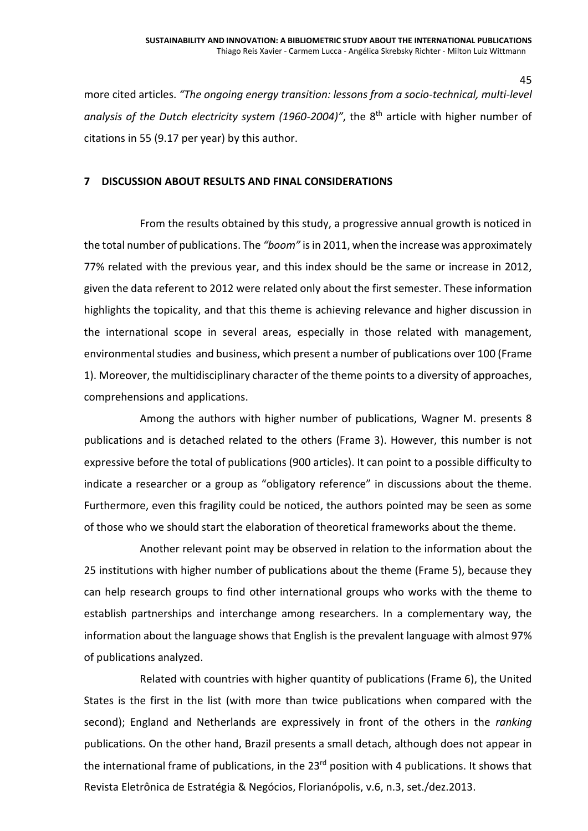more cited articles. *"The ongoing energy transition: lessons from a socio-technical, multi-level analysis of the Dutch electricity system (1960-2004)"*, the 8th article with higher number of citations in 55 (9.17 per year) by this author.

#### **7 DISCUSSION ABOUT RESULTS AND FINAL CONSIDERATIONS**

From the results obtained by this study, a progressive annual growth is noticed in the total number of publications. The *"boom"* is in 2011, when the increase was approximately 77% related with the previous year, and this index should be the same or increase in 2012, given the data referent to 2012 were related only about the first semester. These information highlights the topicality, and that this theme is achieving relevance and higher discussion in the international scope in several areas, especially in those related with management, environmental studies and business, which present a number of publications over 100 (Frame 1). Moreover, the multidisciplinary character of the theme points to a diversity of approaches, comprehensions and applications.

Among the authors with higher number of publications, Wagner M. presents 8 publications and is detached related to the others (Frame 3). However, this number is not expressive before the total of publications (900 articles). It can point to a possible difficulty to indicate a researcher or a group as "obligatory reference" in discussions about the theme. Furthermore, even this fragility could be noticed, the authors pointed may be seen as some of those who we should start the elaboration of theoretical frameworks about the theme.

Another relevant point may be observed in relation to the information about the 25 institutions with higher number of publications about the theme (Frame 5), because they can help research groups to find other international groups who works with the theme to establish partnerships and interchange among researchers. In a complementary way, the information about the language shows that English is the prevalent language with almost 97% of publications analyzed.

Revista Eletrônica de Estratégia & Negócios, Florianópolis, v.6, n.3, set./dez.2013. Related with countries with higher quantity of publications (Frame 6), the United States is the first in the list (with more than twice publications when compared with the second); England and Netherlands are expressively in front of the others in the *ranking* publications. On the other hand, Brazil presents a small detach, although does not appear in the international frame of publications, in the 23<sup>rd</sup> position with 4 publications. It shows that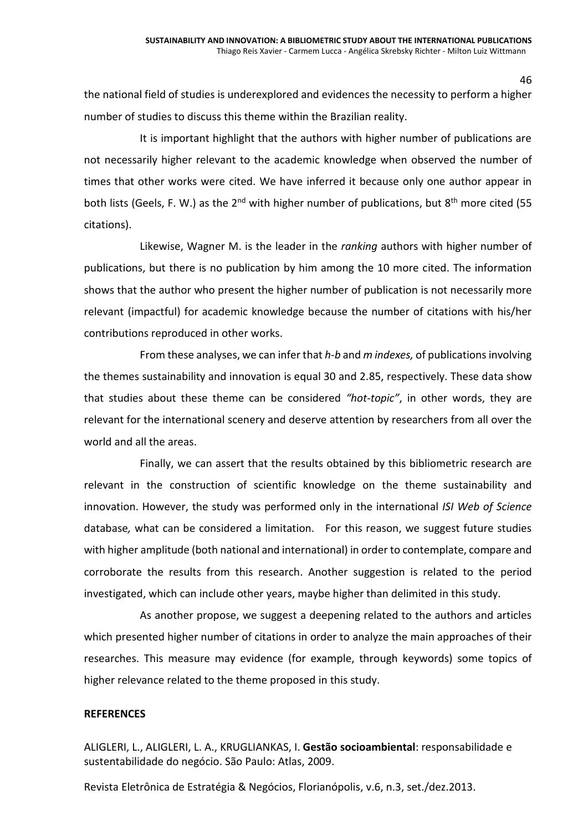the national field of studies is underexplored and evidences the necessity to perform a higher number of studies to discuss this theme within the Brazilian reality.

It is important highlight that the authors with higher number of publications are not necessarily higher relevant to the academic knowledge when observed the number of times that other works were cited. We have inferred it because only one author appear in both lists (Geels, F. W.) as the 2<sup>nd</sup> with higher number of publications, but 8<sup>th</sup> more cited (55 citations).

Likewise, Wagner M. is the leader in the *ranking* authors with higher number of publications, but there is no publication by him among the 10 more cited. The information shows that the author who present the higher number of publication is not necessarily more relevant (impactful) for academic knowledge because the number of citations with his/her contributions reproduced in other works.

From these analyses, we can infer that *h-b* and *m indexes,* of publications involving the themes sustainability and innovation is equal 30 and 2.85, respectively. These data show that studies about these theme can be considered *"hot-topic"*, in other words, they are relevant for the international scenery and deserve attention by researchers from all over the world and all the areas.

Finally, we can assert that the results obtained by this bibliometric research are relevant in the construction of scientific knowledge on the theme sustainability and innovation. However, the study was performed only in the international *ISI Web of Science* database*,* what can be considered a limitation. For this reason, we suggest future studies with higher amplitude (both national and international) in order to contemplate, compare and corroborate the results from this research. Another suggestion is related to the period investigated, which can include other years, maybe higher than delimited in this study.

As another propose, we suggest a deepening related to the authors and articles which presented higher number of citations in order to analyze the main approaches of their researches. This measure may evidence (for example, through keywords) some topics of higher relevance related to the theme proposed in this study.

#### **REFERENCES**

ALIGLERI, L., ALIGLERI, L. A., KRUGLIANKAS, I. **Gestão socioambiental**: responsabilidade e sustentabilidade do negócio. São Paulo: Atlas, 2009.

Revista Eletrônica de Estratégia & Negócios, Florianópolis, v.6, n.3, set./dez.2013.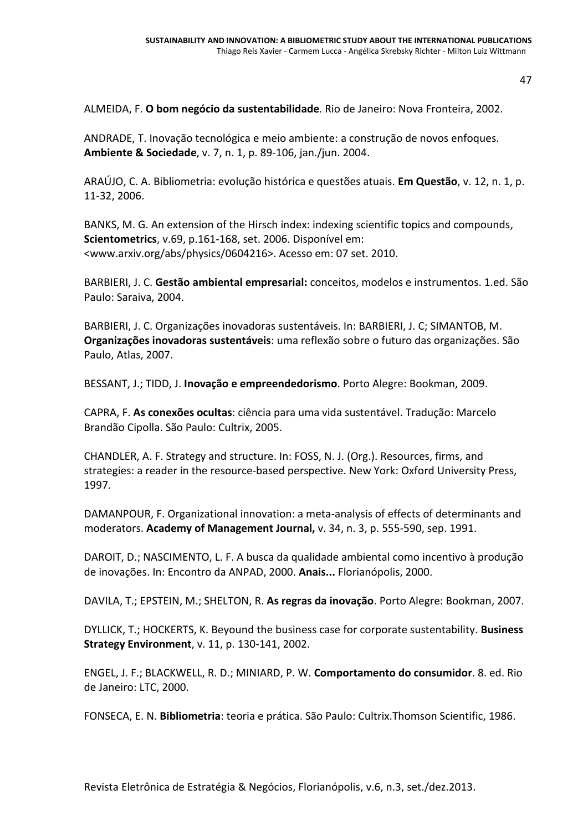ALMEIDA, F. **O bom negócio da sustentabilidade**. Rio de Janeiro: Nova Fronteira, 2002.

ANDRADE, T. Inovação tecnológica e meio ambiente: a construção de novos enfoques. **Ambiente & Sociedade**, v. 7, n. 1, p. 89-106, jan./jun. 2004.

ARAÚJO, C. A. Bibliometria: evolução histórica e questões atuais. **Em Questão**, v. 12, n. 1, p. 11-32, 2006.

BANKS, M. G. An extension of the Hirsch index: indexing scientific topics and compounds, **Scientometrics**, v.69, p.161-168, set. 2006. Disponível em: [<www.arxiv.org/abs/physics/0604216>](www.arxiv.org/abs/physics/0604216). Acesso em: 07 set. 2010.

BARBIERI, J. C. **Gestão ambiental empresarial:** conceitos, modelos e instrumentos. 1.ed. São Paulo: Saraiva, 2004.

BARBIERI, J. C. Organizações inovadoras sustentáveis. In: BARBIERI, J. C; SIMANTOB, M. **Organizações inovadoras sustentáveis**: uma reflexão sobre o futuro das organizações. São Paulo, Atlas, 2007.

BESSANT, J.; TIDD, J. **Inovação e empreendedorismo**. Porto Alegre: Bookman, 2009.

CAPRA, F. **As conexões ocultas**: ciência para uma vida sustentável. Tradução: Marcelo Brandão Cipolla. São Paulo: Cultrix, 2005.

CHANDLER, A. F. Strategy and structure. In: FOSS, N. J. (Org.). Resources, firms, and strategies: a reader in the resource-based perspective. New York: Oxford University Press, 1997.

DAMANPOUR, F. Organizational innovation: a meta-analysis of effects of determinants and moderators. **Academy of Management Journal,** v. 34, n. 3, p. 555-590, sep. 1991.

DAROIT, D.; NASCIMENTO, L. F. A busca da qualidade ambiental como incentivo à produção de inovações. In: Encontro da ANPAD, 2000. **Anais...** Florianópolis, 2000.

DAVILA, T.; EPSTEIN, M.; SHELTON, R. **As regras da inovação**. Porto Alegre: Bookman, 2007.

DYLLICK, T.; HOCKERTS, K. Beyound the business case for corporate sustentability. **Business Strategy Environment**, v. 11, p. 130-141, 2002.

ENGEL, J. F.; BLACKWELL, R. D.; MINIARD, P. W. **Comportamento do consumidor**. 8. ed. Rio de Janeiro: LTC, 2000.

FONSECA, E. N. **Bibliometria**: teoria e prática. São Paulo: Cultrix.Thomson Scientific, 1986.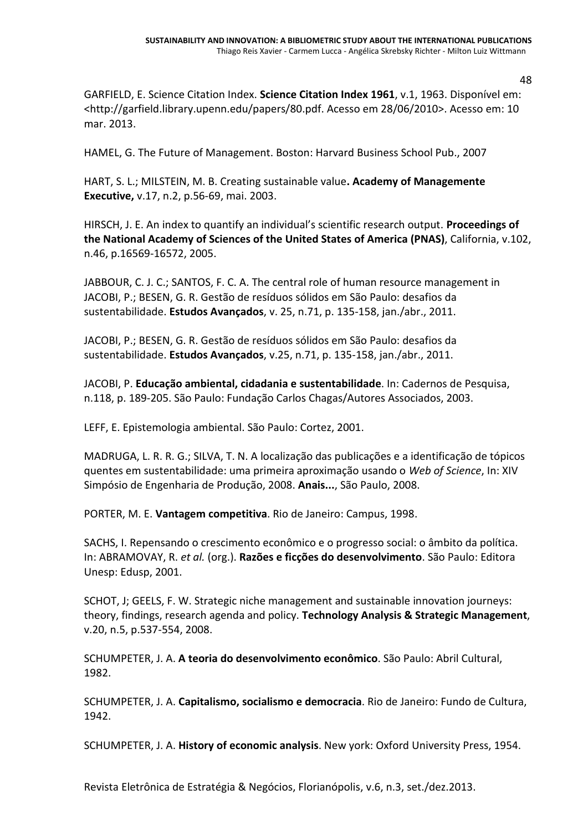GARFIELD, E. Science Citation Index. **Science Citation Index 1961**, v.1, 1963. Disponível em: [<http://garfield.library.upenn.edu/papers/80.pdf](http://garfield.library.upenn.edu/papers/80.pdf). Acesso em 28/06/2010>. Acesso em: 10 mar. 2013.

HAMEL, G. The Future of Management. Boston: Harvard Business School Pub., 2007

HART, S. L.; MILSTEIN, M. B. Creating sustainable value**. Academy of Managemente Executive,** v.17, n.2, p.56-69, mai. 2003.

HIRSCH, J. E. An index to quantify an individual's scientific research output. **Proceedings of the National Academy of Sciences of the United States of America (PNAS)**, California, v.102, n.46, p.16569-16572, 2005.

JABBOUR, C. J. C.; SANTOS, F. C. A. The central role of human resource management in JACOBI, P.; BESEN, G. R. Gestão de resíduos sólidos em São Paulo: desafios da sustentabilidade. **Estudos Avançados**, v. 25, n.71, p. 135-158, jan./abr., 2011.

JACOBI, P.; BESEN, G. R. Gestão de resíduos sólidos em São Paulo: desafios da sustentabilidade. **Estudos Avançados**, v.25, n.71, p. 135-158, jan./abr., 2011.

JACOBI, P. **Educação ambiental, cidadania e sustentabilidade**. In: Cadernos de Pesquisa, n.118, p. 189-205. São Paulo: Fundação Carlos Chagas/Autores Associados, 2003.

LEFF, E. Epistemologia ambiental. São Paulo: Cortez, 2001.

MADRUGA, L. R. R. G.; SILVA, T. N. A localização das publicações e a identificação de tópicos quentes em sustentabilidade: uma primeira aproximação usando o *Web of Science*, In: XIV Simpósio de Engenharia de Produção, 2008. **Anais...**, São Paulo, 2008.

PORTER, M. E. **Vantagem competitiva**. Rio de Janeiro: Campus, 1998.

SACHS, I. Repensando o crescimento econômico e o progresso social: o âmbito da política. In: ABRAMOVAY, R. *et al.* (org.). **Razões e ficções do desenvolvimento**. São Paulo: Editora Unesp: Edusp, 2001.

SCHOT, J; GEELS, F. W. Strategic niche management and sustainable innovation journeys: theory, findings, research agenda and policy. **Technology Analysis & Strategic Management**, v.20, n.5, p.537-554, 2008.

SCHUMPETER, J. A. **A teoria do desenvolvimento econômico**. São Paulo: Abril Cultural, 1982.

SCHUMPETER, J. A. **Capitalismo, socialismo e democracia**. Rio de Janeiro: Fundo de Cultura, 1942.

SCHUMPETER, J. A. **History of economic analysis**. New york: Oxford University Press, 1954.